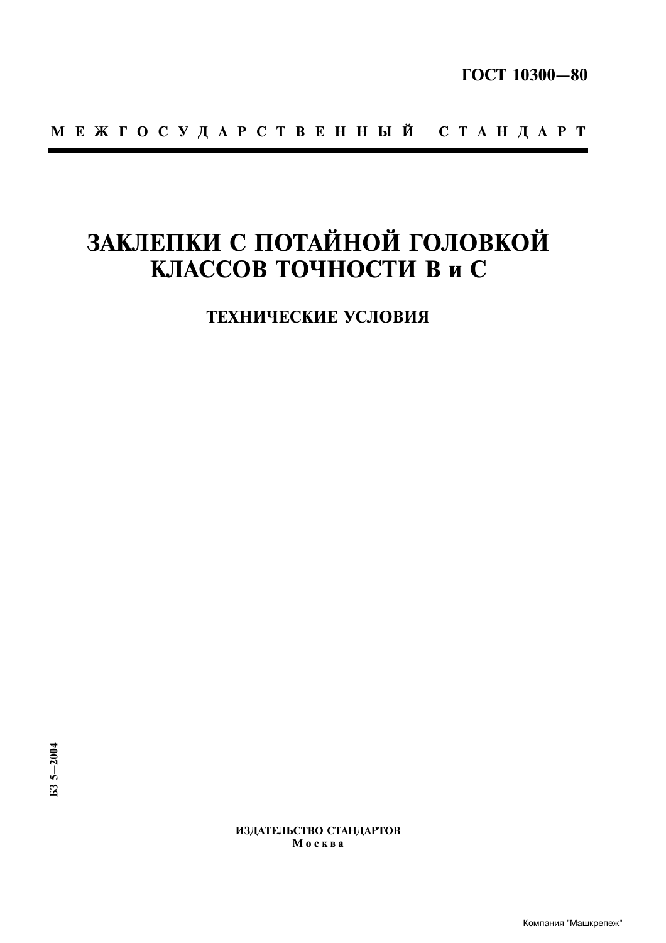# ЗАКЛЕПКИ С ПОТАЙНОЙ ГОЛОВКОЙ КЛАССОВ ТОЧНОСТИ В и С

ТЕХНИЧЕСКИЕ УСЛОВИЯ

ИЗДАТЕЛЬСТВО СТАНДАРТОВ Москва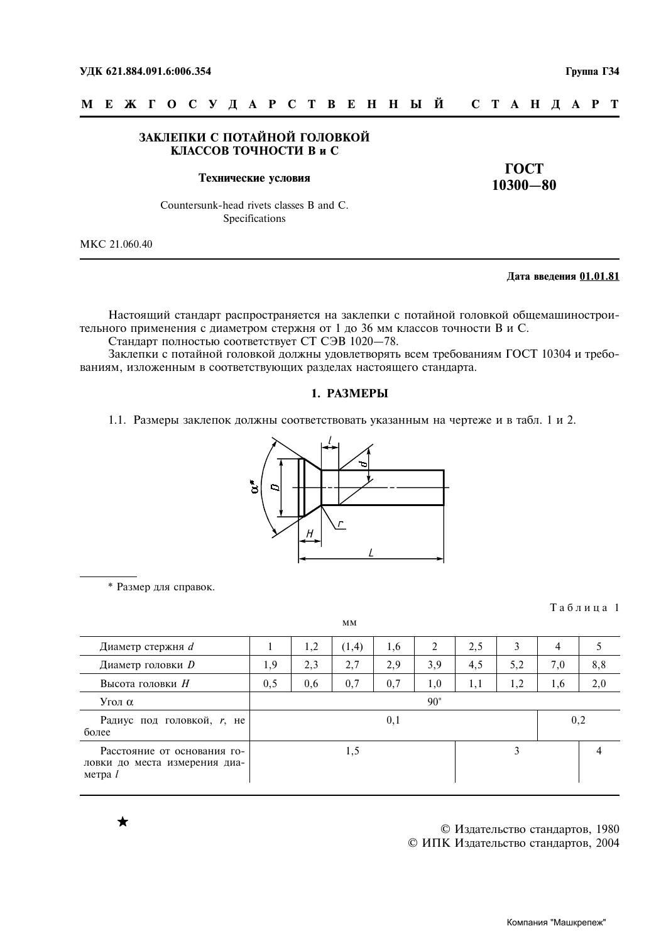## ЗАКЛЕПКИ С ПОТАЙНОЙ ГОЛОВКОЙ КЛАССОВ ТОЧНОСТИ В и С

#### Технические условия

**TOCT**  $10300 - 80$ 

Countersunk-head rivets classes B and C. Specifications

MKC 21.060.40

## Дата введения 01.01.81

Таблина 1

Настоящий стандарт распространяется на заклепки с потайной головкой общемашиностроительного применения с диаметром стержня от 1 до 36 мм классов точности В и С.

Стандарт полностью соответствует СТ СЭВ 1020-78.

Заклепки с потайной головкой должны удовлетворять всем требованиям ГОСТ 10304 и требованиям, изложенным в соответствующих разделах настоящего стандарта.

### 1. РАЗМЕРЫ

1.1. Размеры заклепок должны соответствовать указанным на чертеже и в табл. 1 и 2.



\* Размер для справок.

|                                                                           |     |     | MM    |     |              |     |     |     |     |
|---------------------------------------------------------------------------|-----|-----|-------|-----|--------------|-----|-----|-----|-----|
| Диаметр стержня <i>d</i>                                                  |     | 1,2 | (1,4) | 1,6 | 2            | 2,5 | 3   | 4   |     |
| Диаметр головки <i>D</i>                                                  | 1,9 | 2,3 | 2,7   | 2,9 | 3,9          | 4,5 | 5,2 | 7,0 | 8,8 |
| Высота головки Н                                                          | 0,5 | 0,6 | 0,7   | 0,7 | 1,0          | 1,1 | 1,2 | 1,6 | 2,0 |
| Угол α                                                                    |     |     |       |     | $90^{\circ}$ |     |     |     |     |
| Радиус под головкой, <i>r</i> , не<br>более                               |     |     |       | 0,1 |              |     |     |     | 0,2 |
| Расстояние от основания го-<br>ловки до места измерения диа-<br>метра $l$ |     |     | 1,5   |     |              |     | 3   |     |     |

© Издательство стандартов, 1980 © ИПК Издательство стандартов, 2004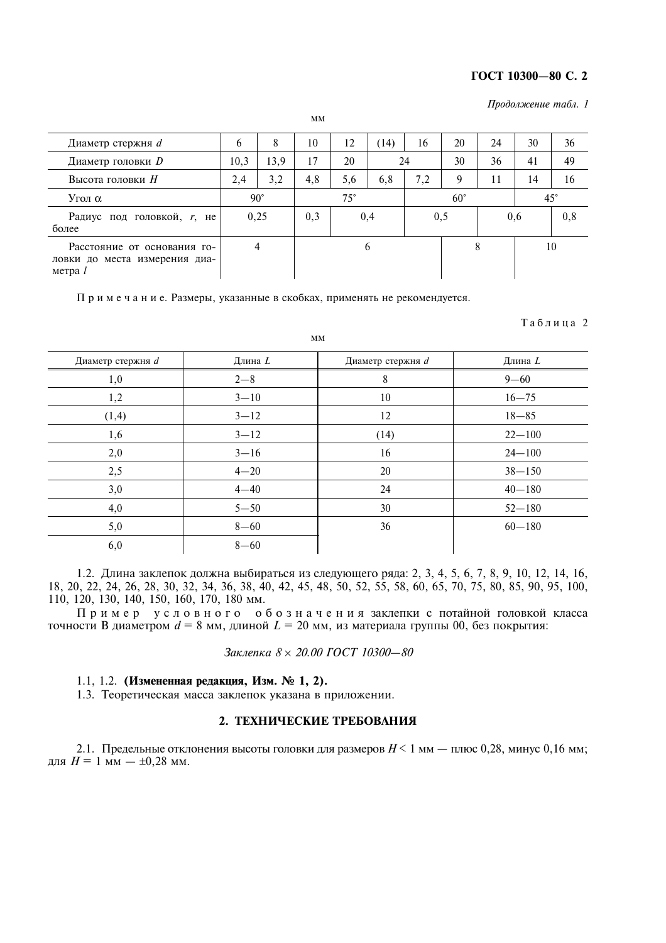## ГОСТ 10300-80 С. 2

Продолжение табл. 1

| Диаметр стержня <i>d</i>                                                  | $\mathfrak b$ | 8    | 10           | 12  | (14)         | 16  | 20  | 24           | 30  | 36  |
|---------------------------------------------------------------------------|---------------|------|--------------|-----|--------------|-----|-----|--------------|-----|-----|
| Диаметр головки <i>D</i>                                                  | 10,3          | 13,9 | 17           | 20  |              | 24  | 30  | 36           | 41  | 49  |
| Высота головки Н                                                          | 2,4           | 3,2  | 4,8          | 5,6 | 6,8          | 7,2 | 9   | 11           | 14  | 16  |
| Угол α                                                                    | $90^{\circ}$  |      | $75^{\circ}$ |     | $60^{\circ}$ |     |     | $45^{\circ}$ |     |     |
| Радиус под головкой, <i>r</i> , не<br>более                               | 0,25          |      | 0,3          | 0,4 |              |     | 0,5 |              | 0.6 | 0,8 |
| Расстояние от основания го-<br>ловки до места измерения диа-<br>метра $l$ | 4             |      | 6            |     |              |     |     | 8            |     | 10  |

 $MM$ 

Примечание. Размеры, указанные в скобках, применять не рекомендуется.

Таблица 2

| Диаметр стержня d | Длина L  | Диаметр стержня d | Длина $L$  |
|-------------------|----------|-------------------|------------|
|                   |          |                   |            |
| 1,0               | $2 - 8$  | 8                 | $9 - 60$   |
| 1,2               | $3 - 10$ | 10                | $16 - 75$  |
| (1,4)             | $3 - 12$ | 12                | $18 - 85$  |
| 1,6               | $3 - 12$ | (14)              | $22 - 100$ |
| 2,0               | $3 - 16$ | 16                | $24 - 100$ |
| 2,5               | $4 - 20$ | 20                | $38 - 150$ |
| 3,0               | $4 - 40$ | 24                | $40 - 180$ |
| 4,0               | $5 - 50$ | 30                | $52 - 180$ |
| 5,0               | $8 - 60$ | 36                | $60 - 180$ |
| 6,0               | $8 - 60$ |                   |            |

1.2. Длина заклепок должна выбираться из следующего ряда: 2, 3, 4, 5, 6, 7, 8, 9, 10, 12, 14, 16, 18, 20, 22, 24, 26, 28, 30, 32, 34, 36, 38, 40, 42, 45, 48, 50, 52, 55, 58, 60, 65, 70, 75, 80, 85, 90, 95, 100, 110, 120, 130, 140, 150, 160, 170, 180 мм.

Пример условного обозначения заклепки с потайной головкой класса точности В диаметром  $d = 8$  мм, длиной  $L = 20$  мм, из материала группы 00, без покрытия:

Заклепка 8 × 20.00 ГОСТ 10300-80

# 1.1, 1.2. (Измененная редакция, Изм. № 1, 2).

1.3. Теоретическая масса заклепок указана в приложении.

# 2. ТЕХНИЧЕСКИЕ ТРЕБОВАНИЯ

2.1. Предельные отклонения высоты головки для размеров  $H < 1$  мм — плюс 0,28, минус 0,16 мм; для  $H = 1$  мм  $- \pm 0.28$  мм.

**MM**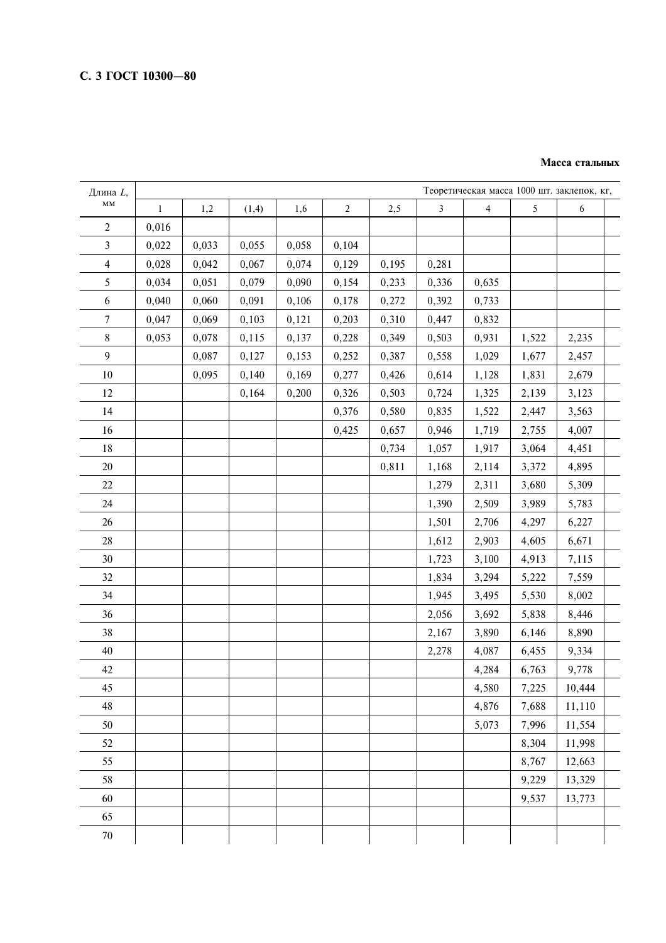#### Масса стальных

| Длина L,               |             |       |       |       |       |       |                |                         |       | Теоретическая масса 1000 шт. заклепок, кг, |
|------------------------|-------------|-------|-------|-------|-------|-------|----------------|-------------------------|-------|--------------------------------------------|
| $\mathbf{M}\mathbf{M}$ | $\mathbf 1$ | 1,2   | (1,4) | 1,6   | $2\,$ | 2,5   | $\mathfrak{Z}$ | $\overline{\mathbf{4}}$ | 5     | $\sqrt{6}$                                 |
| $\overline{2}$         | 0,016       |       |       |       |       |       |                |                         |       |                                            |
| $\mathfrak{Z}$         | 0,022       | 0,033 | 0,055 | 0,058 | 0,104 |       |                |                         |       |                                            |
| $\overline{4}$         | 0,028       | 0,042 | 0,067 | 0,074 | 0,129 | 0,195 | 0,281          |                         |       |                                            |
| 5                      | 0,034       | 0,051 | 0,079 | 0,090 | 0,154 | 0,233 | 0,336          | 0,635                   |       |                                            |
| 6                      | 0,040       | 0,060 | 0,091 | 0,106 | 0,178 | 0,272 | 0,392          | 0,733                   |       |                                            |
| $\overline{7}$         | 0,047       | 0,069 | 0,103 | 0,121 | 0,203 | 0,310 | 0,447          | 0,832                   |       |                                            |
| $8\,$                  | 0,053       | 0,078 | 0,115 | 0,137 | 0,228 | 0,349 | 0,503          | 0,931                   | 1,522 | 2,235                                      |
| 9                      |             | 0,087 | 0,127 | 0,153 | 0,252 | 0,387 | 0,558          | 1,029                   | 1,677 | 2,457                                      |
| 10                     |             | 0,095 | 0,140 | 0,169 | 0,277 | 0,426 | 0,614          | 1,128                   | 1,831 | 2,679                                      |
| 12                     |             |       | 0,164 | 0,200 | 0,326 | 0,503 | 0,724          | 1,325                   | 2,139 | 3,123                                      |
| 14                     |             |       |       |       | 0,376 | 0,580 | 0,835          | 1,522                   | 2,447 | 3,563                                      |
| 16                     |             |       |       |       | 0,425 | 0,657 | 0,946          | 1,719                   | 2,755 | 4,007                                      |
| 18                     |             |       |       |       |       | 0,734 | 1,057          | 1,917                   | 3,064 | 4,451                                      |
| 20                     |             |       |       |       |       | 0,811 | 1,168          | 2,114                   | 3,372 | 4,895                                      |
| 22                     |             |       |       |       |       |       | 1,279          | 2,311                   | 3,680 | 5,309                                      |
| 24                     |             |       |       |       |       |       | 1,390          | 2,509                   | 3,989 | 5,783                                      |
| 26                     |             |       |       |       |       |       | 1,501          | 2,706                   | 4,297 | 6,227                                      |
| 28                     |             |       |       |       |       |       | 1,612          | 2,903                   | 4,605 | 6,671                                      |
| 30                     |             |       |       |       |       |       | 1,723          | 3,100                   | 4,913 | 7,115                                      |
| 32                     |             |       |       |       |       |       | 1,834          | 3,294                   | 5,222 | 7,559                                      |
| 34                     |             |       |       |       |       |       | 1,945          | 3,495                   | 5,530 | 8,002                                      |
| 36                     |             |       |       |       |       |       | 2,056          | 3,692                   | 5,838 | 8,446                                      |
| 38                     |             |       |       |       |       |       | 2,167          | 3,890                   | 6,146 | 8,890                                      |
| 40                     |             |       |       |       |       |       | 2,278          | 4,087                   | 6,455 | 9,334                                      |
| 42                     |             |       |       |       |       |       |                | 4,284                   | 6,763 | 9,778                                      |
| 45                     |             |       |       |       |       |       |                | 4,580                   | 7,225 | 10,444                                     |
| 48                     |             |       |       |       |       |       |                | 4,876                   | 7,688 | 11,110                                     |
| 50                     |             |       |       |       |       |       |                | 5,073                   | 7,996 | 11,554                                     |
| 52                     |             |       |       |       |       |       |                |                         | 8,304 | 11,998                                     |
| 55                     |             |       |       |       |       |       |                |                         | 8,767 | 12,663                                     |
| 58                     |             |       |       |       |       |       |                |                         | 9,229 | 13,329                                     |
| 60                     |             |       |       |       |       |       |                |                         | 9,537 | 13,773                                     |
| 65                     |             |       |       |       |       |       |                |                         |       |                                            |
| 70                     |             |       |       |       |       |       |                |                         |       |                                            |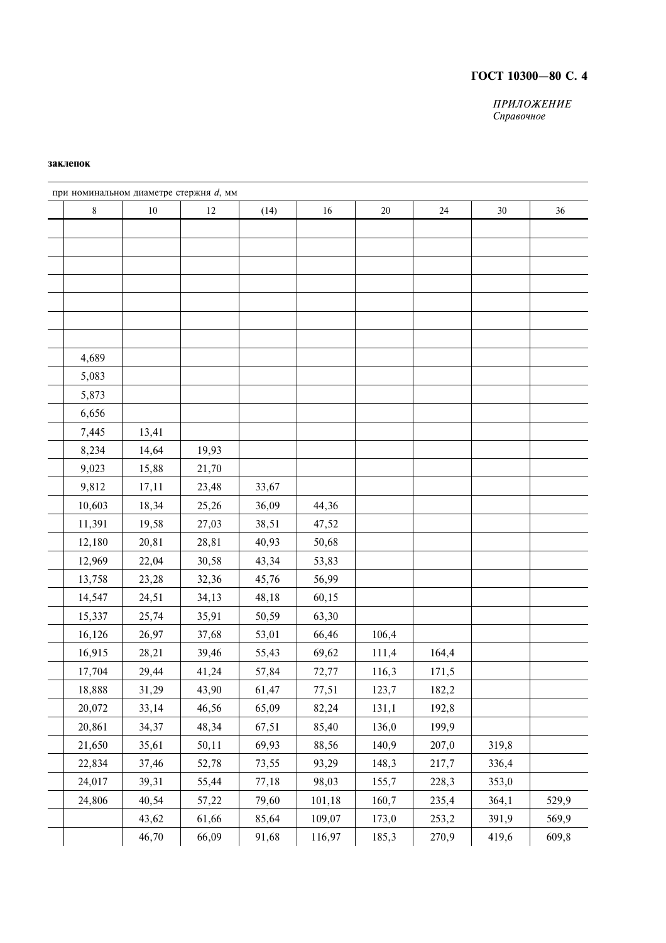# ГОСТ 10300-80 С. 4

ПРИЛОЖЕНИЕ Справочное

#### заклепок

| 8      | $10\,$ | 12    | (14)  | 16     | $20\,$ | $24\,$ | $30\,$ | 36    |
|--------|--------|-------|-------|--------|--------|--------|--------|-------|
|        |        |       |       |        |        |        |        |       |
|        |        |       |       |        |        |        |        |       |
|        |        |       |       |        |        |        |        |       |
|        |        |       |       |        |        |        |        |       |
|        |        |       |       |        |        |        |        |       |
|        |        |       |       |        |        |        |        |       |
|        |        |       |       |        |        |        |        |       |
| 4,689  |        |       |       |        |        |        |        |       |
| 5,083  |        |       |       |        |        |        |        |       |
| 5,873  |        |       |       |        |        |        |        |       |
| 6,656  |        |       |       |        |        |        |        |       |
| 7,445  | 13,41  |       |       |        |        |        |        |       |
| 8,234  | 14,64  | 19,93 |       |        |        |        |        |       |
| 9,023  | 15,88  | 21,70 |       |        |        |        |        |       |
| 9,812  | 17,11  | 23,48 | 33,67 |        |        |        |        |       |
| 10,603 | 18,34  | 25,26 | 36,09 | 44,36  |        |        |        |       |
| 11,391 | 19,58  | 27,03 | 38,51 | 47,52  |        |        |        |       |
| 12,180 | 20,81  | 28,81 | 40,93 | 50,68  |        |        |        |       |
| 12,969 | 22,04  | 30,58 | 43,34 | 53,83  |        |        |        |       |
| 13,758 | 23,28  | 32,36 | 45,76 | 56,99  |        |        |        |       |
| 14,547 | 24,51  | 34,13 | 48,18 | 60,15  |        |        |        |       |
| 15,337 | 25,74  | 35,91 | 50,59 | 63,30  |        |        |        |       |
| 16,126 | 26,97  | 37,68 | 53,01 | 66,46  | 106,4  |        |        |       |
| 16,915 | 28,21  | 39,46 | 55,43 | 69,62  | 111,4  | 164,4  |        |       |
| 17,704 | 29,44  | 41,24 | 57,84 | 72,77  | 116,3  | 171,5  |        |       |
| 18,888 | 31,29  | 43,90 | 61,47 | 77,51  | 123,7  | 182,2  |        |       |
| 20,072 | 33,14  | 46,56 | 65,09 | 82,24  | 131,1  | 192,8  |        |       |
| 20,861 | 34,37  | 48,34 | 67,51 | 85,40  | 136,0  | 199,9  |        |       |
| 21,650 | 35,61  | 50,11 | 69,93 | 88,56  | 140,9  | 207,0  | 319,8  |       |
| 22,834 | 37,46  | 52,78 | 73,55 | 93,29  | 148,3  | 217,7  | 336,4  |       |
| 24,017 | 39,31  | 55,44 | 77,18 | 98,03  | 155,7  | 228,3  | 353,0  |       |
| 24,806 | 40,54  | 57,22 | 79,60 | 101,18 | 160,7  | 235,4  | 364,1  | 529,9 |
|        | 43,62  | 61,66 | 85,64 | 109,07 | 173,0  | 253,2  | 391,9  | 569,9 |
|        | 46,70  | 66,09 | 91,68 | 116,97 | 185,3  | 270,9  | 419,6  | 609,8 |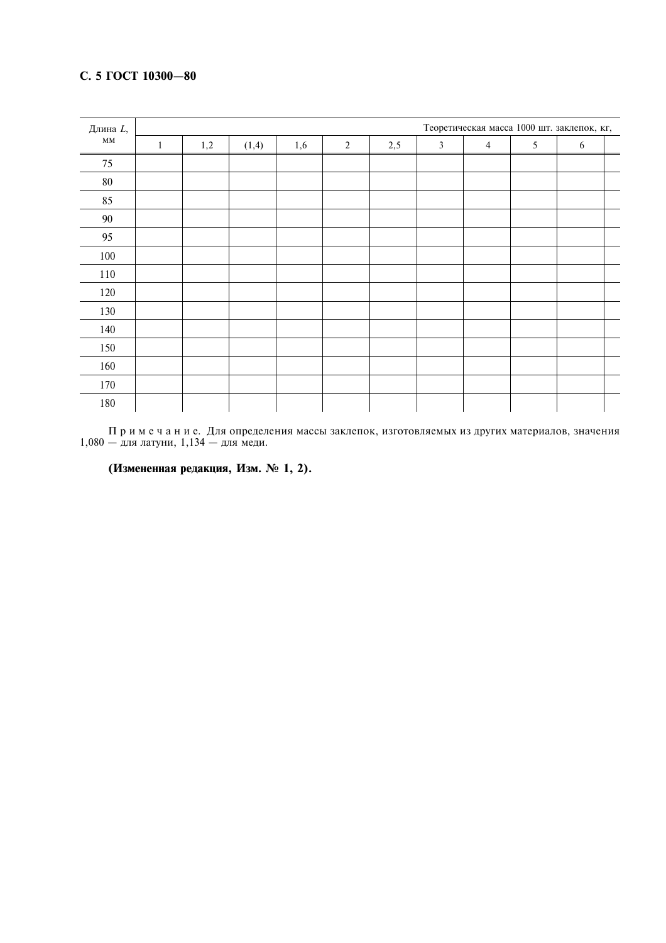# С. 5 ГОСТ 10300-80

| Длина L, |   | Теоретическая масса 1000 шт. заклепок, кг, |       |     |            |     |                |                |   |            |  |  |  |  |
|----------|---|--------------------------------------------|-------|-----|------------|-----|----------------|----------------|---|------------|--|--|--|--|
| MM       | 1 | 1,2                                        | (1,4) | 1,6 | $\sqrt{2}$ | 2,5 | $\mathfrak{Z}$ | $\overline{4}$ | 5 | $\sqrt{6}$ |  |  |  |  |
| 75       |   |                                            |       |     |            |     |                |                |   |            |  |  |  |  |
| 80       |   |                                            |       |     |            |     |                |                |   |            |  |  |  |  |
| 85       |   |                                            |       |     |            |     |                |                |   |            |  |  |  |  |
| 90       |   |                                            |       |     |            |     |                |                |   |            |  |  |  |  |
| 95       |   |                                            |       |     |            |     |                |                |   |            |  |  |  |  |
| 100      |   |                                            |       |     |            |     |                |                |   |            |  |  |  |  |
| 110      |   |                                            |       |     |            |     |                |                |   |            |  |  |  |  |
| 120      |   |                                            |       |     |            |     |                |                |   |            |  |  |  |  |
| 130      |   |                                            |       |     |            |     |                |                |   |            |  |  |  |  |
| 140      |   |                                            |       |     |            |     |                |                |   |            |  |  |  |  |
| 150      |   |                                            |       |     |            |     |                |                |   |            |  |  |  |  |
| 160      |   |                                            |       |     |            |     |                |                |   |            |  |  |  |  |
| 170      |   |                                            |       |     |            |     |                |                |   |            |  |  |  |  |
| 180      |   |                                            |       |     |            |     |                |                |   |            |  |  |  |  |

 $\Pi$ р и м е ч а н и е. Для определения массы заклепок, изготовляемых из других материалов, значения 1,080 — для латуни, 1,134 — для меди.

(Измененная редакция, Изм. № 1, 2).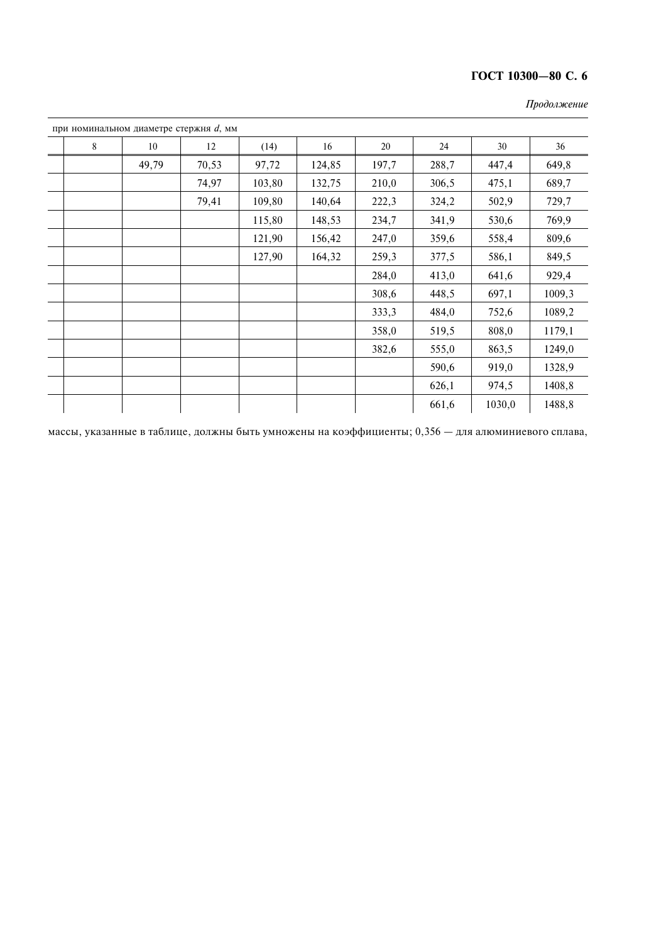# ГОСТ 10300-80 С. 6

|   | при номинальном диаметре стержня $d$ , мм |       |        |        |       |       |        |        |
|---|-------------------------------------------|-------|--------|--------|-------|-------|--------|--------|
| 8 | 10                                        | 12    | (14)   | 16     | 20    | 24    | 30     | 36     |
|   | 49,79                                     | 70,53 | 97,72  | 124,85 | 197,7 | 288,7 | 447,4  | 649,8  |
|   |                                           | 74,97 | 103,80 | 132,75 | 210,0 | 306,5 | 475,1  | 689,7  |
|   |                                           | 79,41 | 109,80 | 140,64 | 222,3 | 324,2 | 502,9  | 729,7  |
|   |                                           |       | 115,80 | 148,53 | 234,7 | 341,9 | 530,6  | 769,9  |
|   |                                           |       | 121,90 | 156,42 | 247,0 | 359,6 | 558,4  | 809,6  |
|   |                                           |       | 127,90 | 164,32 | 259,3 | 377,5 | 586,1  | 849,5  |
|   |                                           |       |        |        | 284,0 | 413,0 | 641,6  | 929,4  |
|   |                                           |       |        |        | 308,6 | 448,5 | 697,1  | 1009,3 |
|   |                                           |       |        |        | 333,3 | 484,0 | 752,6  | 1089,2 |
|   |                                           |       |        |        | 358,0 | 519,5 | 808,0  | 1179,1 |
|   |                                           |       |        |        | 382,6 | 555,0 | 863,5  | 1249,0 |
|   |                                           |       |        |        |       | 590,6 | 919,0  | 1328,9 |
|   |                                           |       |        |        |       | 626,1 | 974,5  | 1408,8 |
|   |                                           |       |        |        |       | 661,6 | 1030,0 | 1488,8 |

Продолжение

массы, указанные в таблице, должны быть умножены на коэффициенты;  $0,356 -$  для алюминиевого сплава,